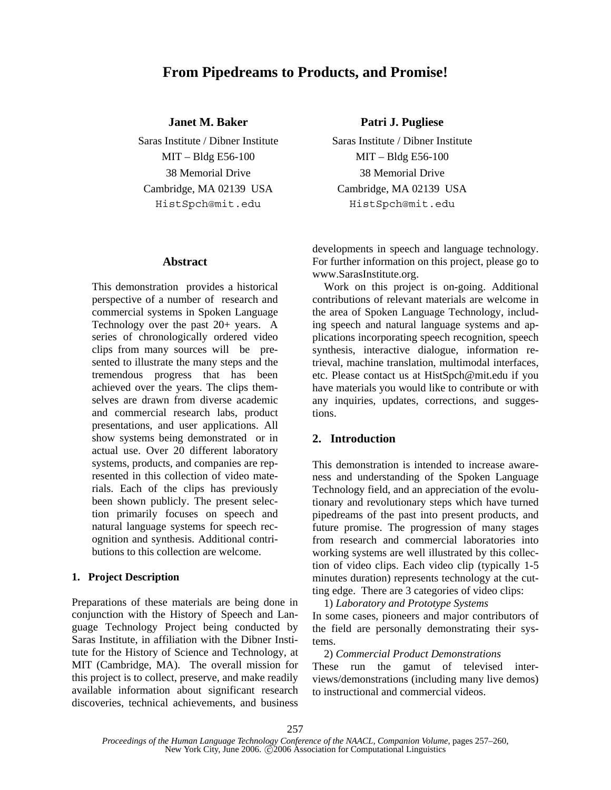# **From Pipedreams to Products, and Promise!**

### **Janet M. Baker Patri J. Pugliese**

#### **Abstract**

This demonstration provides a historical perspective of a number of research and commercial systems in Spoken Language Technology over the past  $20+$  years. A series of chronologically ordered video clips from many sources will be presented to illustrate the many steps and the tremendous progress that has been achieved over the years. The clips themselves are drawn from diverse academic and commercial research labs, product presentations, and user applications. All show systems being demonstrated or in actual use. Over 20 different laboratory systems, products, and companies are represented in this collection of video materials. Each of the clips has previously been shown publicly. The present selection primarily focuses on speech and natural language systems for speech recognition and synthesis. Additional contributions to this collection are welcome.

### **1. Project Description**

Preparations of these materials are being done in conjunction with the History of Speech and Language Technology Project being conducted by Saras Institute, in affiliation with the Dibner Institute for the History of Science and Technology, at MIT (Cambridge, MA). The overall mission for this project is to collect, preserve, and make readily available information about significant research discoveries, technical achievements, and business

Saras Institute / Dibner Institute Saras Institute / Dibner Institute MIT – Bldg E56-100 MIT – Bldg E56-100 38 Memorial Drive 38 Memorial Drive Cambridge, MA 02139 USA Cambridge, MA 02139 USA HistSpch@mit.edu HistSpch@mit.edu

> developments in speech and language technology. For further information on this project, please go to www.SarasInstitute.org.

> Work on this project is on-going. Additional contributions of relevant materials are welcome in the area of Spoken Language Technology, including speech and natural language systems and applications incorporating speech recognition, speech synthesis, interactive dialogue, information retrieval, machine translation, multimodal interfaces, etc. Please contact us at HistSpch@mit.edu if you have materials you would like to contribute or with any inquiries, updates, corrections, and suggestions.

## **2. Introduction**

This demonstration is intended to increase awareness and understanding of the Spoken Language Technology field, and an appreciation of the evolutionary and revolutionary steps which have turned pipedreams of the past into present products, and future promise. The progression of many stages from research and commercial laboratories into working systems are well illustrated by this collection of video clips. Each video clip (typically 1-5 minutes duration) represents technology at the cutting edge. There are 3 categories of video clips:

1) *Laboratory and Prototype Systems* In some cases, pioneers and major contributors of the field are personally demonstrating their systems.

2) *Commercial Product Demonstrations*

These run the gamut of televised interviews/demonstrations (including many live demos) to instructional and commercial videos.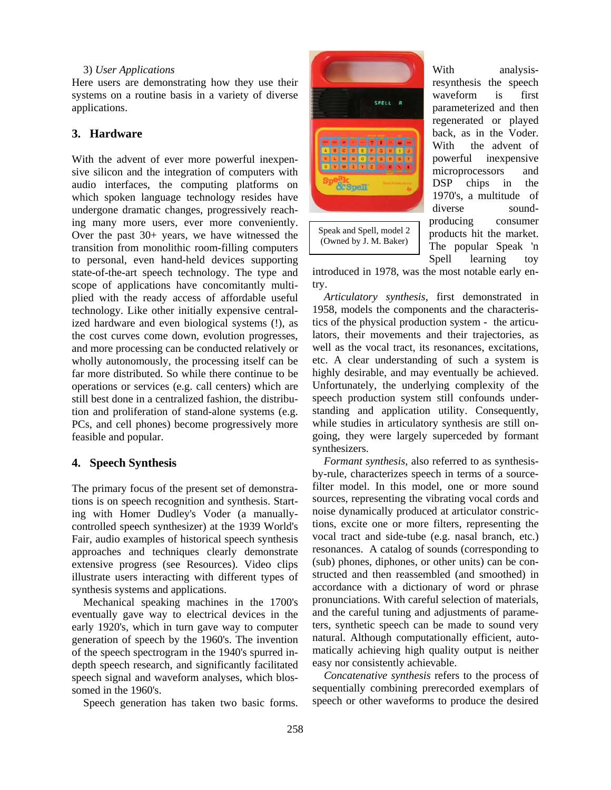#### 3) *User Applications*

Here users are demonstrating how they use their systems on a routine basis in a variety of diverse applications.

#### **3. Hardware**

With the advent of ever more powerful inexpensive silicon and the integration of computers with audio interfaces, the computing platforms on which spoken language technology resides have undergone dramatic changes, progressively reaching many more users, ever more conveniently. Over the past 30+ years, we have witnessed the transition from monolithic room-filling computers to personal, even hand-held devices supporting state-of-the-art speech technology. The type and scope of applications have concomitantly multiplied with the ready access of affordable useful technology. Like other initially expensive centralized hardware and even biological systems (!), as the cost curves come down, evolution progresses, and more processing can be conducted relatively or wholly autonomously, the processing itself can be far more distributed. So while there continue to be operations or services (e.g. call centers) which are still best done in a centralized fashion, the distribution and proliferation of stand-alone systems (e.g. PCs, and cell phones) become progressively more feasible and popular.

### **4. Speech Synthesis**

The primary focus of the present set of demonstrations is on speech recognition and synthesis. Starting with Homer Dudley's Voder (a manuallycontrolled speech synthesizer) at the 1939 World's Fair, audio examples of historical speech synthesis approaches and techniques clearly demonstrate extensive progress (see Resources). Video clips illustrate users interacting with different types of synthesis systems and applications.

Mechanical speaking machines in the 1700's eventually gave way to electrical devices in the early 1920's, which in turn gave way to computer generation of speech by the 1960's. The invention of the speech spectrogram in the 1940's spurred indepth speech research, and significantly facilitated speech signal and waveform analyses, which blossomed in the 1960's.

Speech generation has taken two basic forms.



With analysisresynthesis the speech waveform is first parameterized and then regenerated or played back, as in the Voder. With the advent of powerful inexpensive microprocessors and DSP chips in the 1970's, a multitude of diverse soundproducing consumer products hit the market. The popular Speak 'n Spell learning toy

introduced in 1978, was the most notable early entry.

*Articulatory synthesis*, first demonstrated in 1958, models the components and the characteristics of the physical production system - the articulators, their movements and their trajectories, as well as the vocal tract, its resonances, excitations, etc. A clear understanding of such a system is highly desirable, and may eventually be achieved. Unfortunately, the underlying complexity of the speech production system still confounds understanding and application utility. Consequently, while studies in articulatory synthesis are still ongoing, they were largely superceded by formant synthesizers.

*Formant synthesis*, also referred to as synthesisby-rule, characterizes speech in terms of a sourcefilter model. In this model, one or more sound sources, representing the vibrating vocal cords and noise dynamically produced at articulator constrictions, excite one or more filters, representing the vocal tract and side-tube (e.g. nasal branch, etc.) resonances. A catalog of sounds (corresponding to (sub) phones, diphones, or other units) can be constructed and then reassembled (and smoothed) in accordance with a dictionary of word or phrase pronunciations. With careful selection of materials, and the careful tuning and adjustments of parameters, synthetic speech can be made to sound very natural. Although computationally efficient, automatically achieving high quality output is neither easy nor consistently achievable.

*Concatenative synthesis* refers to the process of sequentially combining prerecorded exemplars of speech or other waveforms to produce the desired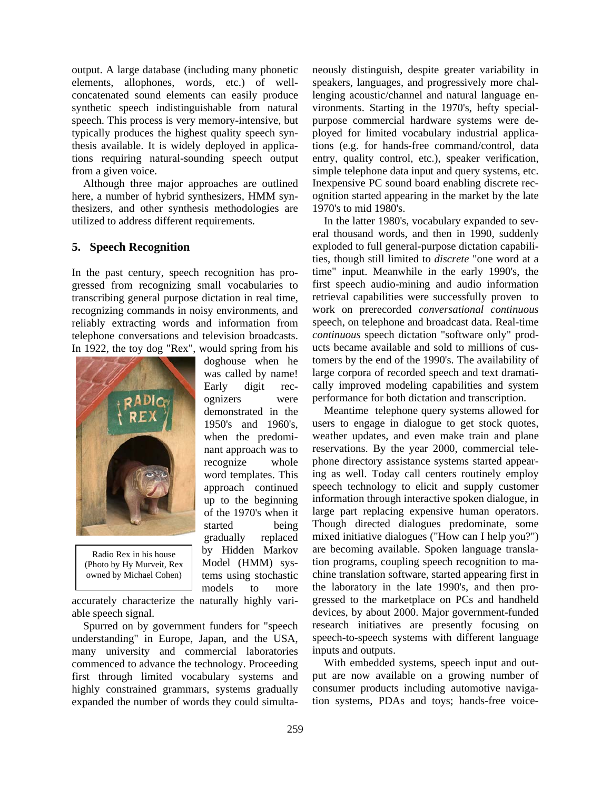output. A large database (including many phonetic elements, allophones, words, etc.) of wellconcatenated sound elements can easily produce synthetic speech indistinguishable from natural speech. This process is very memory-intensive, but typically produces the highest quality speech synthesis available. It is widely deployed in applications requiring natural-sounding speech output from a given voice.

 Although three major approaches are outlined here, a number of hybrid synthesizers, HMM synthesizers, and other synthesis methodologies are utilized to address different requirements.

## **5. Speech Recognition**

In the past century, speech recognition has progressed from recognizing small vocabularies to transcribing general purpose dictation in real time, recognizing commands in noisy environments, and reliably extracting words and information from telephone conversations and television broadcasts. In 1922, the toy dog "Rex", would spring from his

> doghouse when he was called by name! Early digit recognizers were demonstrated in the 1950's and 1960's, when the predominant approach was to recognize whole word templates. This approach continued up to the beginning of the 1970's when it started being gradually replaced by Hidden Markov Model (HMM) systems using stochastic models to more



Radio Rex in his house (Photo by Hy Murveit, Rex owned by Michael Cohen)

accurately characterize the naturally highly variable speech signal.

 Spurred on by government funders for "speech understanding" in Europe, Japan, and the USA, many university and commercial laboratories commenced to advance the technology. Proceeding first through limited vocabulary systems and highly constrained grammars, systems gradually expanded the number of words they could simultaneously distinguish, despite greater variability in speakers, languages, and progressively more challenging acoustic/channel and natural language environments. Starting in the 1970's, hefty specialpurpose commercial hardware systems were deployed for limited vocabulary industrial applications (e.g. for hands-free command/control, data entry, quality control, etc.), speaker verification, simple telephone data input and query systems, etc. Inexpensive PC sound board enabling discrete recognition started appearing in the market by the late 1970's to mid 1980's.

 In the latter 1980's, vocabulary expanded to several thousand words, and then in 1990, suddenly exploded to full general-purpose dictation capabilities, though still limited to *discrete* "one word at a time" input. Meanwhile in the early 1990's, the first speech audio-mining and audio information retrieval capabilities were successfully proven to work on prerecorded *conversational continuous* speech, on telephone and broadcast data. Real-time *continuous* speech dictation "software only" products became available and sold to millions of customers by the end of the 1990's. The availability of large corpora of recorded speech and text dramatically improved modeling capabilities and system performance for both dictation and transcription.

 Meantime telephone query systems allowed for users to engage in dialogue to get stock quotes, weather updates, and even make train and plane reservations. By the year 2000, commercial telephone directory assistance systems started appearing as well. Today call centers routinely employ speech technology to elicit and supply customer information through interactive spoken dialogue, in large part replacing expensive human operators. Though directed dialogues predominate, some mixed initiative dialogues ("How can I help you?") are becoming available. Spoken language translation programs, coupling speech recognition to machine translation software, started appearing first in the laboratory in the late 1990's, and then progressed to the marketplace on PCs and handheld devices, by about 2000. Major government-funded research initiatives are presently focusing on speech-to-speech systems with different language inputs and outputs.

 With embedded systems, speech input and output are now available on a growing number of consumer products including automotive navigation systems, PDAs and toys; hands-free voice